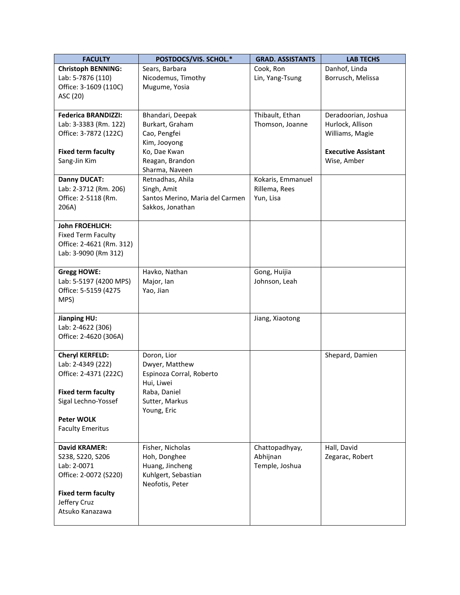| <b>FACULTY</b>                             | POSTDOCS/VIS. SCHOL.*                      | <b>GRAD. ASSISTANTS</b>    | <b>LAB TECHS</b>               |
|--------------------------------------------|--------------------------------------------|----------------------------|--------------------------------|
| <b>Christoph BENNING:</b>                  | Sears, Barbara                             | Cook, Ron                  | Danhof, Linda                  |
| Lab: 5-7876 (110)                          | Nicodemus, Timothy                         | Lin, Yang-Tsung            | Borrusch, Melissa              |
| Office: 3-1609 (110C)                      | Mugume, Yosia                              |                            |                                |
| ASC (20)                                   |                                            |                            |                                |
| <b>Federica BRANDIZZI:</b>                 | Bhandari, Deepak                           | Thibault, Ethan            | Deradoorian, Joshua            |
| Lab: 3-3383 (Rm. 122)                      | Burkart, Graham                            | Thomson, Joanne            | Hurlock, Allison               |
| Office: 3-7872 (122C)                      | Cao, Pengfei                               |                            | Williams, Magie                |
|                                            | Kim, Jooyong                               |                            |                                |
| <b>Fixed term faculty</b>                  | Ko, Dae Kwan                               |                            | <b>Executive Assistant</b>     |
| Sang-Jin Kim                               | Reagan, Brandon                            |                            | Wise, Amber                    |
|                                            | Sharma, Naveen                             |                            |                                |
| <b>Danny DUCAT:</b>                        | Retnadhas, Ahila                           | Kokaris, Emmanuel          |                                |
| Lab: 2-3712 (Rm. 206)                      | Singh, Amit                                | Rillema, Rees              |                                |
| Office: 2-5118 (Rm.                        | Santos Merino, Maria del Carmen            | Yun, Lisa                  |                                |
| 206A)                                      | Sakkos, Jonathan                           |                            |                                |
| <b>John FROEHLICH:</b>                     |                                            |                            |                                |
| <b>Fixed Term Faculty</b>                  |                                            |                            |                                |
| Office: 2-4621 (Rm. 312)                   |                                            |                            |                                |
| Lab: 3-9090 (Rm 312)                       |                                            |                            |                                |
|                                            |                                            |                            |                                |
| <b>Gregg HOWE:</b>                         | Havko, Nathan                              | Gong, Huijia               |                                |
| Lab: 5-5197 (4200 MPS)                     | Major, Ian                                 | Johnson, Leah              |                                |
| Office: 5-5159 (4275                       | Yao, Jian                                  |                            |                                |
| MPS)                                       |                                            |                            |                                |
| <b>Jianping HU:</b>                        |                                            | Jiang, Xiaotong            |                                |
| Lab: 2-4622 (306)                          |                                            |                            |                                |
| Office: 2-4620 (306A)                      |                                            |                            |                                |
|                                            |                                            |                            |                                |
| <b>Cheryl KERFELD:</b>                     | Doron, Lior                                |                            | Shepard, Damien                |
| Lab: 2-4349 (222)<br>Office: 2-4371 (222C) | Dwyer, Matthew<br>Espinoza Corral, Roberto |                            |                                |
|                                            | Hui, Liwei                                 |                            |                                |
| <b>Fixed term faculty</b>                  | Raba, Daniel                               |                            |                                |
| Sigal Lechno-Yossef                        | Sutter, Markus                             |                            |                                |
|                                            | Young, Eric                                |                            |                                |
| <b>Peter WOLK</b>                          |                                            |                            |                                |
| <b>Faculty Emeritus</b>                    |                                            |                            |                                |
|                                            |                                            |                            |                                |
| <b>David KRAMER:</b><br>S238, S220, S206   | Fisher, Nicholas<br>Hoh, Donghee           | Chattopadhyay,<br>Abhijnan | Hall, David<br>Zegarac, Robert |
| Lab: 2-0071                                | Huang, Jincheng                            | Temple, Joshua             |                                |
| Office: 2-0072 (S220)                      | Kuhlgert, Sebastian                        |                            |                                |
|                                            | Neofotis, Peter                            |                            |                                |
| <b>Fixed term faculty</b>                  |                                            |                            |                                |
| Jeffery Cruz                               |                                            |                            |                                |
| Atsuko Kanazawa                            |                                            |                            |                                |
|                                            |                                            |                            |                                |